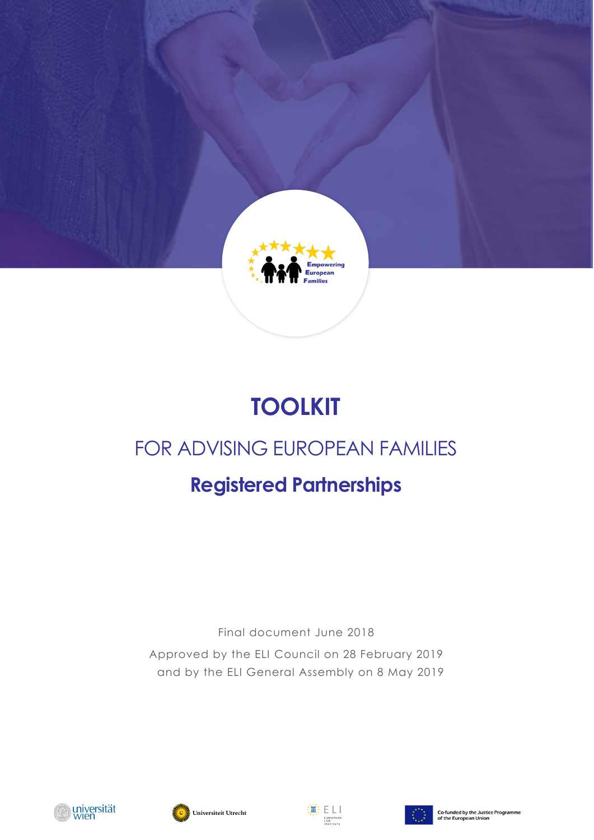

# **TOOLKIT**

# FOR ADVISING EUROPEAN FAMILIES

# **Registered Partnerships**

Final document June 2018 Approved by the ELI Council on 28 February 2019 and by the ELI General Assembly on 8 May 2019







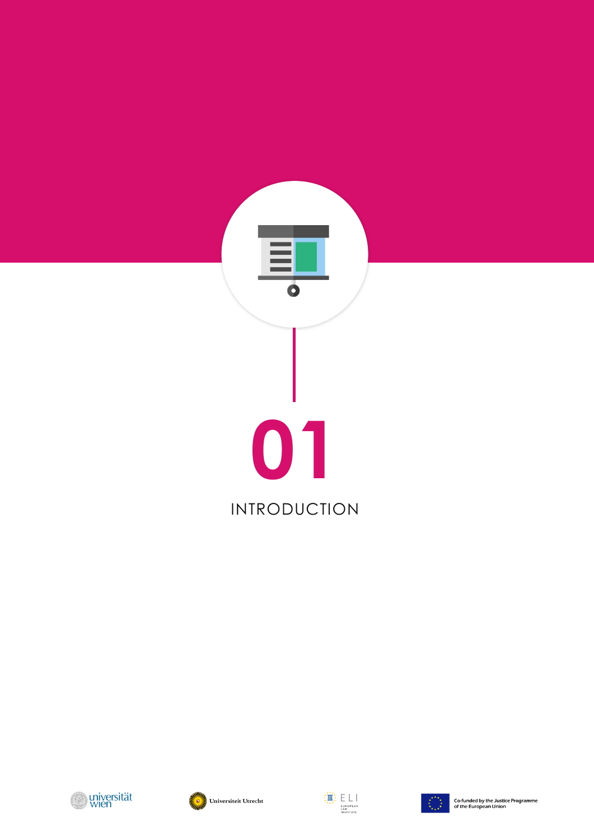







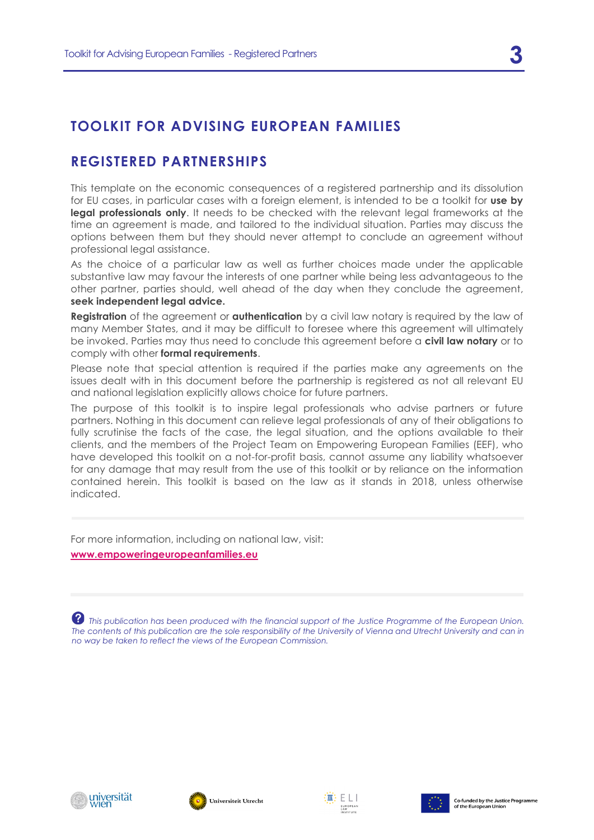## **TOOLKIT FOR ADVISING EUROPEAN FAMILIES**

## **REGISTERED PARTNERSHIPS**

This template on the economic consequences of a registered partnership and its dissolution for EU cases, in particular cases with a foreign element, is intended to be a toolkit for **use by legal professionals only**. It needs to be checked with the relevant legal frameworks at the time an agreement is made, and tailored to the individual situation. Parties may discuss the options between them but they should never attempt to conclude an agreement without professional legal assistance.

As the choice of a particular law as well as further choices made under the applicable substantive law may favour the interests of one partner while being less advantageous to the other partner, parties should, well ahead of the day when they conclude the agreement, **seek independent legal advice.**

**Registration** of the agreement or **authentication** by a civil law notary is required by the law of many Member States, and it may be difficult to foresee where this agreement will ultimately be invoked. Parties may thus need to conclude this agreement before a **civil law notary** or to comply with other **formal requirements**.

Please note that special attention is required if the parties make any agreements on the issues dealt with in this document before the partnership is registered as not all relevant EU and national legislation explicitly allows choice for future partners.

The purpose of this toolkit is to inspire legal professionals who advise partners or future partners. Nothing in this document can relieve legal professionals of any of their obligations to fully scrutinise the facts of the case, the legal situation, and the options available to their clients, and the members of the Project Team on Empowering European Families (EEF), who have developed this toolkit on a not-for-profit basis, cannot assume any liability whatsoever for any damage that may result from the use of this toolkit or by reliance on the information contained herein. This toolkit is based on the law as it stands in 2018, unless otherwise indicated.

For more information, including on national law, visit:

**[www.empoweringeuropeanfamilies.eu](http://www.empoweringeuropeanfamilies.eu/)**

 *This publication has been produced with the financial support of the Justice Programme of the European Union. The contents of this publication are the sole responsibility of the University of Vienna and Utrecht University and can in no way be taken to reflect the views of the European Commission.*







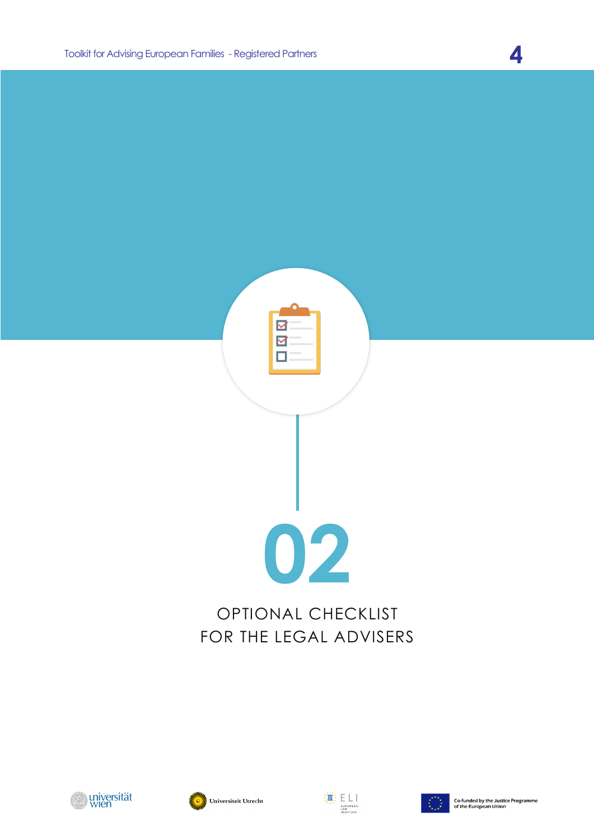







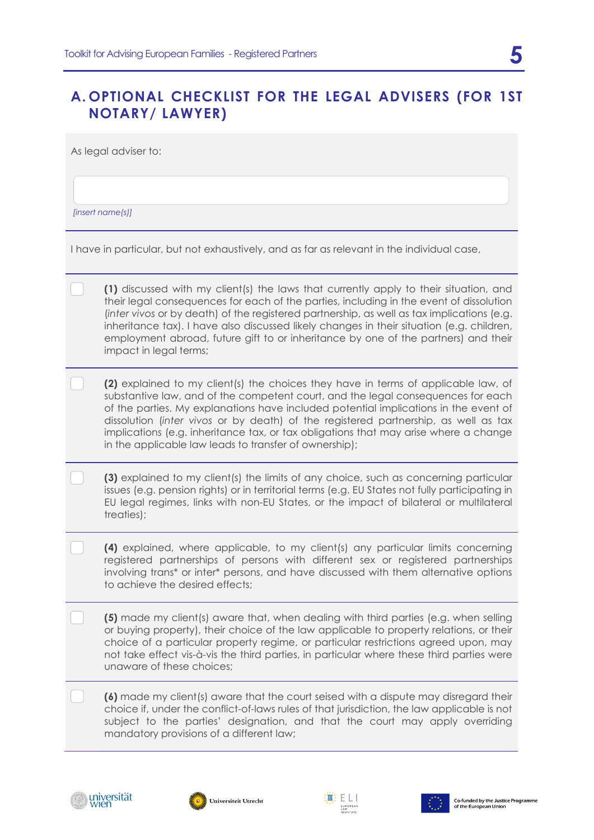## **A. OPTIONAL CHECKLIST FOR THE LEGAL ADVISERS (FOR 1ST NOTARY/ LAWYER)**

As legal adviser to:

*[insert name(s)]*

I have in particular, but not exhaustively, and as far as relevant in the individual case,

| (1) discussed with my client(s) the laws that currently apply to their situation, and      |  |
|--------------------------------------------------------------------------------------------|--|
| their legal consequences for each of the parties, including in the event of dissolution    |  |
| (inter vivos or by death) of the registered partnership, as well as tax implications (e.g. |  |
| inheritance tax). I have also discussed likely changes in their situation (e.g. children,  |  |
| employment abroad, future gift to or inheritance by one of the partners) and their         |  |
| impact in legal terms;                                                                     |  |

- **(2)** explained to my client(s) the choices they have in terms of applicable law, of substantive law, and of the competent court, and the legal consequences for each of the parties. My explanations have included potential implications in the event of dissolution (*inter vivos* or by death) of the registered partnership, as well as tax implications (e.g. inheritance tax, or tax obligations that may arise where a change in the applicable law leads to transfer of ownership);
- **(3)** explained to my client(s) the limits of any choice, such as concerning particular issues (e.g. pension rights) or in territorial terms (e.g. EU States not fully participating in EU legal regimes, links with non-EU States, or the impact of bilateral or multilateral treaties);
- **(4)** explained, where applicable, to my client(s) any particular limits concerning registered partnerships of persons with different sex or registered partnerships involving trans\* or inter\* persons, and have discussed with them alternative options to achieve the desired effects;
- **(5)** made my client(s) aware that, when dealing with third parties (e.g. when selling or buying property), their choice of the law applicable to property relations, or their choice of a particular property regime, or particular restrictions agreed upon, may not take effect vis-à-vis the third parties, in particular where these third parties were unaware of these choices;
- **(6)** made my client(s) aware that the court seised with a dispute may disregard their choice if, under the conflict-of-laws rules of that jurisdiction, the law applicable is not subject to the parties' designation, and that the court may apply overriding mandatory provisions of a different law;







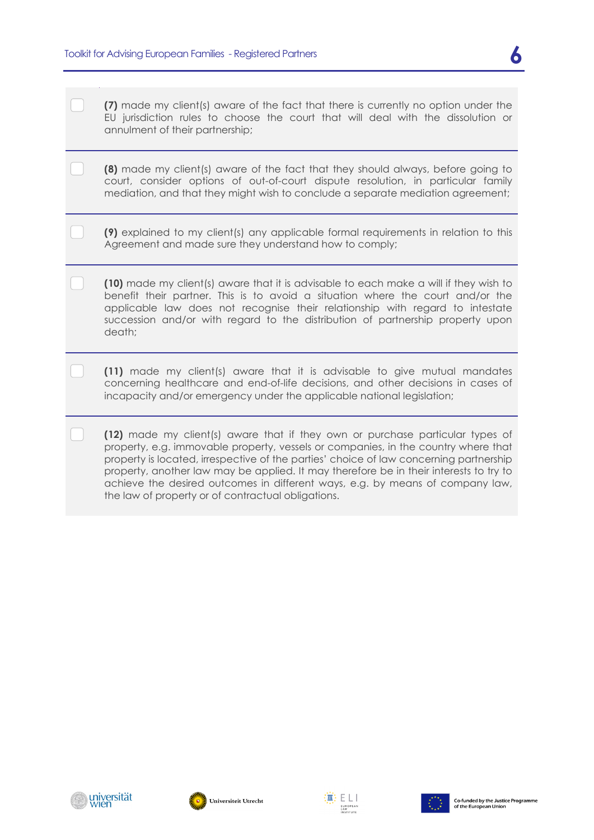| (7) made my client(s) aware of the fact that there is currently no option under the |  |  |  |  |  |  |
|-------------------------------------------------------------------------------------|--|--|--|--|--|--|
| EU jurisdiction rules to choose the court that will deal with the dissolution or    |  |  |  |  |  |  |
| annulment of their partnership;                                                     |  |  |  |  |  |  |

**(8)** made my client(s) aware of the fact that they should always, before going to court, consider options of out-of-court dispute resolution, in particular family mediation, and that they might wish to conclude a separate mediation agreement;

**(9)** explained to my client(s) any applicable formal requirements in relation to this Agreement and made sure they understand how to comply;

**(10)** made my client(s) aware that it is advisable to each make a will if they wish to benefit their partner. This is to avoid a situation where the court and/or the applicable law does not recognise their relationship with regard to intestate succession and/or with regard to the distribution of partnership property upon death;

**(11)** made my client(s) aware that it is advisable to give mutual mandates concerning healthcare and end-of-life decisions, and other decisions in cases of incapacity and/or emergency under the applicable national legislation;

**(12)** made my client(s) aware that if they own or purchase particular types of property, e.g. immovable property, vessels or companies, in the country where that property is located, irrespective of the parties' choice of law concerning partnership property, another law may be applied. It may therefore be in their interests to try to achieve the desired outcomes in different ways, e.g. by means of company law, the law of property or of contractual obligations.





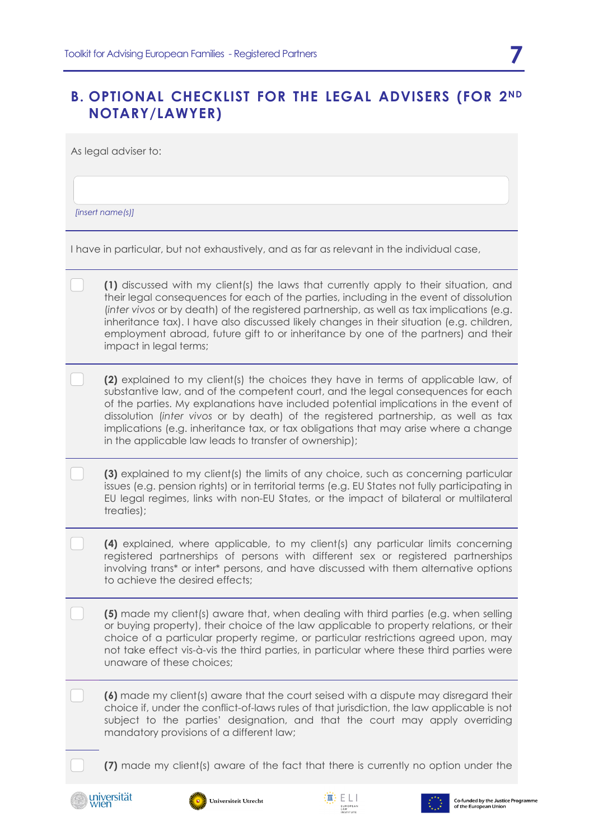## **B. OPTIONAL CHECKLIST FOR THE LEGAL ADVISERS (FOR 2ND NOTARY/LAWYER)**

As legal adviser to:

*[insert name(s)]*

I have in particular, but not exhaustively, and as far as relevant in the individual case,

**(2)** explained to my client(s) the choices they have in terms of applicable law, of substantive law, and of the competent court, and the legal consequences for each of the parties. My explanations have included potential implications in the event of dissolution (*inter vivos* or by death) of the registered partnership, as well as tax implications (e.g. inheritance tax, or tax obligations that may arise where a change in the applicable law leads to transfer of ownership);

**(3)** explained to my client(s) the limits of any choice, such as concerning particular issues (e.g. pension rights) or in territorial terms (e.g. EU States not fully participating in EU legal regimes, links with non-EU States, or the impact of bilateral or multilateral treaties);

**(4)** explained, where applicable, to my client(s) any particular limits concerning registered partnerships of persons with different sex or registered partnerships involving trans\* or inter\* persons, and have discussed with them alternative options to achieve the desired effects;

**(5)** made my client(s) aware that, when dealing with third parties (e.g. when selling or buying property), their choice of the law applicable to property relations, or their choice of a particular property regime, or particular restrictions agreed upon, may not take effect vis-à-vis the third parties, in particular where these third parties were unaware of these choices;

**(6)** made my client(s) aware that the court seised with a dispute may disregard their choice if, under the conflict-of-laws rules of that jurisdiction, the law applicable is not subject to the parties' designation, and that the court may apply overriding mandatory provisions of a different law;

**(7)** made my client(s) aware of the fact that there is currently no option under the







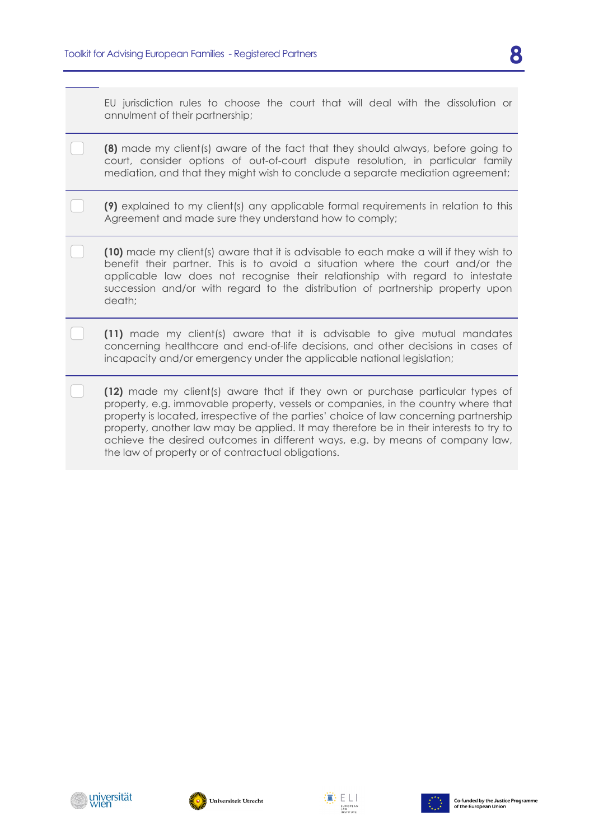EU jurisdiction rules to choose the court that will deal with the dissolution or annulment of their partnership;

- **(8)** made my client(s) aware of the fact that they should always, before going to court, consider options of out-of-court dispute resolution, in particular family mediation, and that they might wish to conclude a separate mediation agreement;
- **(9)** explained to my client(s) any applicable formal requirements in relation to this Agreement and made sure they understand how to comply;
- **(10)** made my client(s) aware that it is advisable to each make a will if they wish to benefit their partner. This is to avoid a situation where the court and/or the applicable law does not recognise their relationship with regard to intestate succession and/or with regard to the distribution of partnership property upon death;
- **(11)** made my client(s) aware that it is advisable to give mutual mandates concerning healthcare and end-of-life decisions, and other decisions in cases of incapacity and/or emergency under the applicable national legislation;
- **(12)** made my client(s) aware that if they own or purchase particular types of property, e.g. immovable property, vessels or companies, in the country where that property is located, irrespective of the parties' choice of law concerning partnership property, another law may be applied. It may therefore be in their interests to try to achieve the desired outcomes in different ways, e.g. by means of company law, the law of property or of contractual obligations.







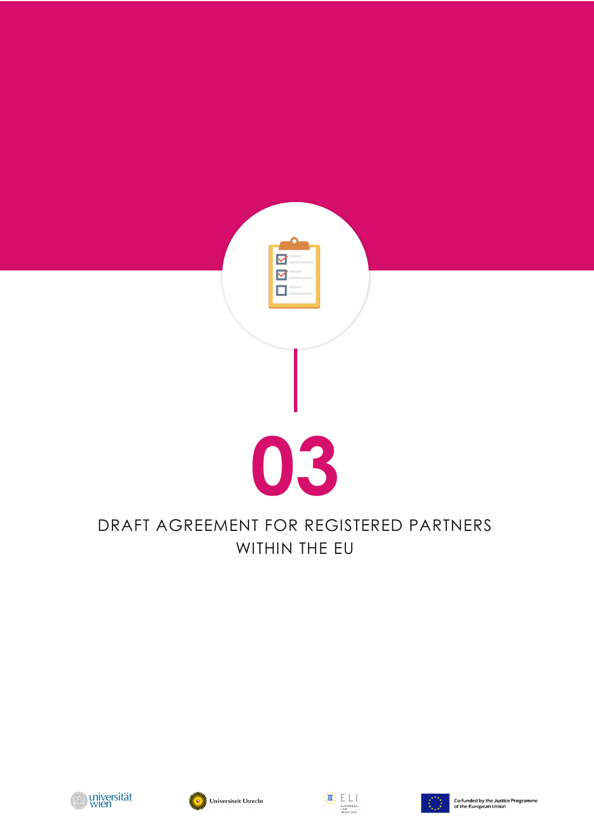

# DRAFT AGREEMENT FOR REGISTERED PARTNERS WITHIN THE EU







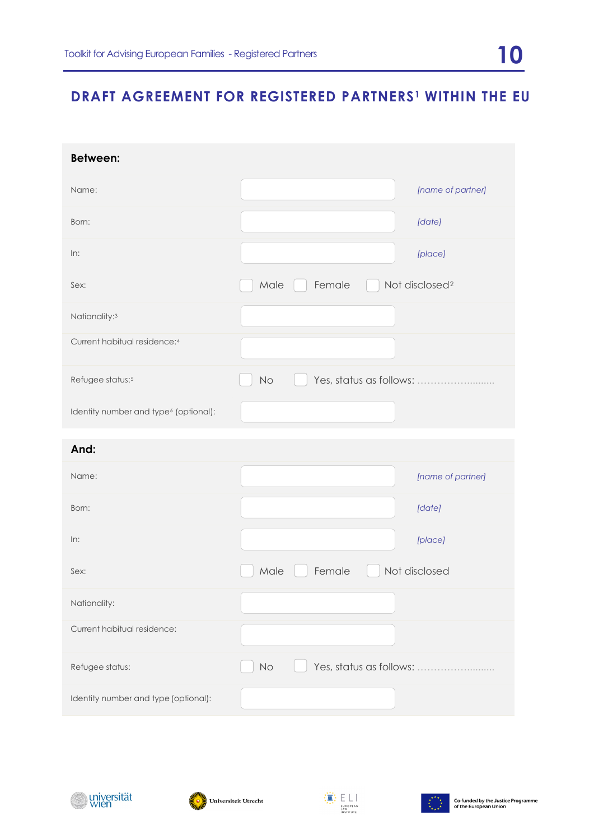# **DRAFT AGREEMENT FOR REGISTERED PARTNERS[1](#page-19-0) WITHIN THE EU**

| <b>Between:</b>                                   |          |                         |                            |
|---------------------------------------------------|----------|-------------------------|----------------------------|
| Name:                                             |          |                         | [name of partner]          |
| Born:                                             |          |                         | [date]                     |
| In:                                               |          |                         | [place]                    |
| Sex:                                              | Male     | Female                  | Not disclosed <sup>2</sup> |
| Nationality: <sup>3</sup>                         |          |                         |                            |
| Current habitual residence:4                      |          |                         |                            |
| Refugee status: <sup>5</sup>                      | No       | Yes, status as follows: |                            |
| Identity number and type <sup>6</sup> (optional): |          |                         |                            |
| And:                                              |          |                         |                            |
| Name:                                             |          |                         | [name of partner]          |
| Born:                                             |          |                         | [date]                     |
| In:                                               |          |                         | [place]                    |
| Sex:                                              | Male     | Female                  | Not disclosed              |
| Nationality:                                      |          |                         |                            |
| Current habitual residence:                       |          |                         |                            |
| Refugee status:                                   | $\rm No$ | Yes, status as follows: |                            |
| Identity number and type (optional):              |          |                         |                            |





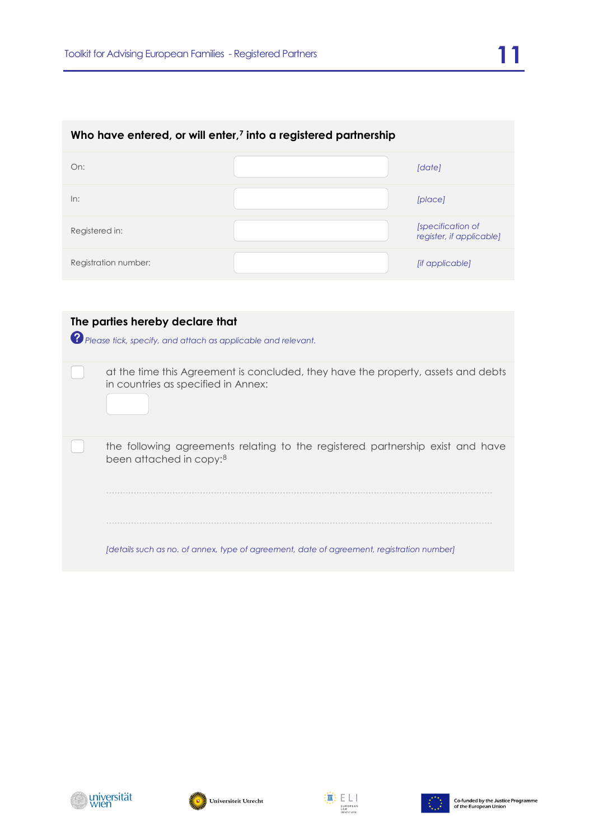| Who have entered, or will enter, <sup>7</sup> into a registered partnership |  |                                               |  |  |  |
|-----------------------------------------------------------------------------|--|-----------------------------------------------|--|--|--|
| On:                                                                         |  | [date]                                        |  |  |  |
| In:                                                                         |  | [place]                                       |  |  |  |
| Registered in:                                                              |  | [specification of<br>register, if applicable] |  |  |  |
| Registration number:                                                        |  | <i>lif applicable]</i>                        |  |  |  |
|                                                                             |  |                                               |  |  |  |

| The parties hereby declare that<br>? Please tick, specify, and attach as applicable and relevant.                        |
|--------------------------------------------------------------------------------------------------------------------------|
| at the time this Agreement is concluded, they have the property, assets and debts<br>in countries as specified in Annex: |
| the following agreements relating to the registered partnership exist and have<br>been attached in copy: <sup>8</sup>    |
|                                                                                                                          |
| [details such as no. of annex, type of agreement, date of agreement, registration number]                                |





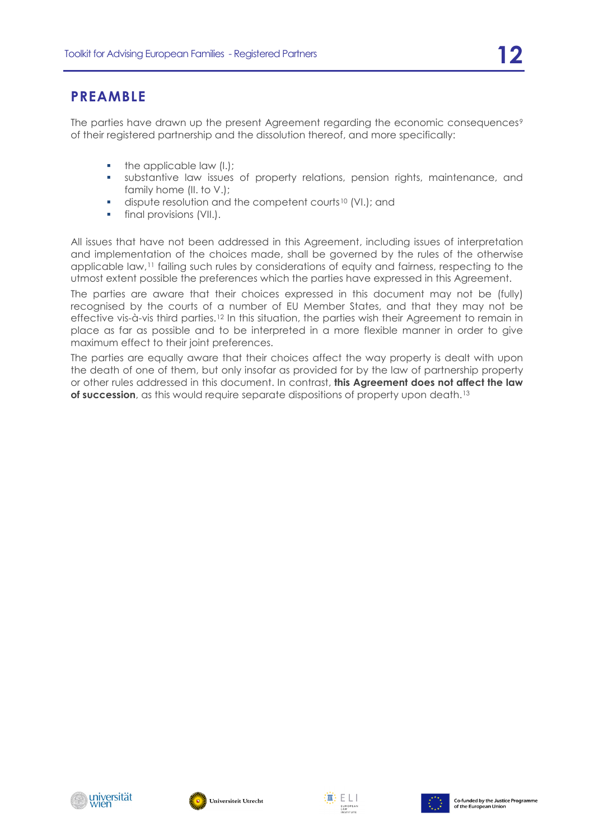## **PREAMBLE**

The parties have drawn up the present Agreement regarding the economic consequences<sup>[9](#page-19-8)</sup> of their registered partnership and the dissolution thereof, and more specifically:

- $\blacksquare$  the applicable law (I.);
- substantive law issues of property relations, pension rights, maintenance, and family home (II. to V.);
- dispute resolution and the competent courts[10](#page-19-9) (VI.); and
- **final provisions (VII.).**

All issues that have not been addressed in this Agreement, including issues of interpretation and implementation of the choices made, shall be governed by the rules of the otherwise applicable law,<sup>[11](#page-20-0)</sup> failing such rules by considerations of equity and fairness, respecting to the utmost extent possible the preferences which the parties have expressed in this Agreement.

<span id="page-11-0"></span>The parties are aware that their choices expressed in this document may not be (fully) recognised by the courts of a number of EU Member States, and that they may not be effective vis-à-vis third parties.[12](#page-20-1) In this situation, the parties wish their Agreement to remain in place as far as possible and to be interpreted in a more flexible manner in order to give maximum effect to their joint preferences.

The parties are equally aware that their choices affect the way property is dealt with upon the death of one of them, but only insofar as provided for by the law of partnership property or other rules addressed in this document. In contrast, **this Agreement does not affect the law of succession**, as this would require separate dispositions of property upon death.<sup>[13](#page-20-2)</sup>





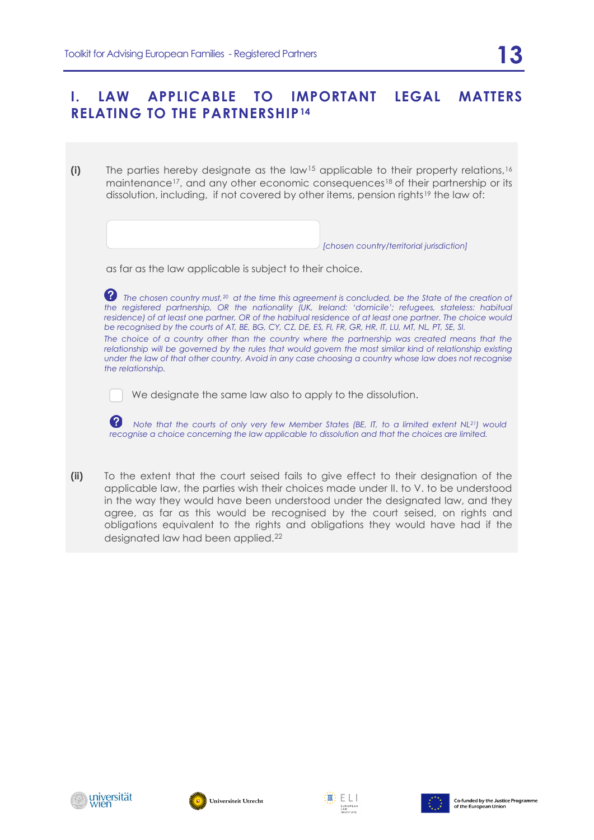## **I. LAW APPLICABLE TO IMPORTANT LEGAL MATTERS RELATING TO THE PARTNERSHIP[14](#page-20-3)**

**(i)** The parties hereby designate as the law[15](#page-20-4) applicable to their property relations,[16](#page-20-5) maintenance<sup>[17](#page-21-0)</sup>, and any other economic consequences<sup>[18](#page-21-1)</sup> of their partnership or its dissolution, including, if not covered by other items, pension rights[19](#page-21-2) the law of:

*[chosen country/territorial jurisdiction]*

| as far as the law applicable is subject to their choice. |  |  |  |  |  |  |  |  |  |  |  |  |
|----------------------------------------------------------|--|--|--|--|--|--|--|--|--|--|--|--|
|----------------------------------------------------------|--|--|--|--|--|--|--|--|--|--|--|--|

 *The chosen country must,[20](#page-21-3) at the time this agreement is concluded, be the State of the creation of the registered partnership, OR the nationality (UK, Ireland: 'domicile'; refugees, stateless: habitual residence) of at least one partner, OR of the habitual residence of at least one partner. The choice would be recognised by the courts of AT, BE, BG, CY, CZ, DE, ES, FI, FR, GR, HR, IT, LU, MT, NL, PT, SE, SI. The choice of a country other than the country where the partnership was created means that the relationship will be governed by the rules that would govern the most similar kind of relationship existing under the law of that other country. Avoid in any case choosing a country whose law does not recognise the relationship.*

We designate the same law also to apply to the dissolution.

*Note that the courts of only very few Member States (BE, IT, to a limited extent NL[21](#page-21-4)) would recognise a choice concerning the law applicable to dissolution and that the choices are limited.*

**(ii)** To the extent that the court seised fails to give effect to their designation of the applicable law, the parties wish their choices made under II. to V. to be understood in the way they would have been understood under the designated law, and they agree, as far as this would be recognised by the court seised, on rights and obligations equivalent to the rights and obligations they would have had if the designated law had been applied.<sup>[22](#page-22-0)</sup>







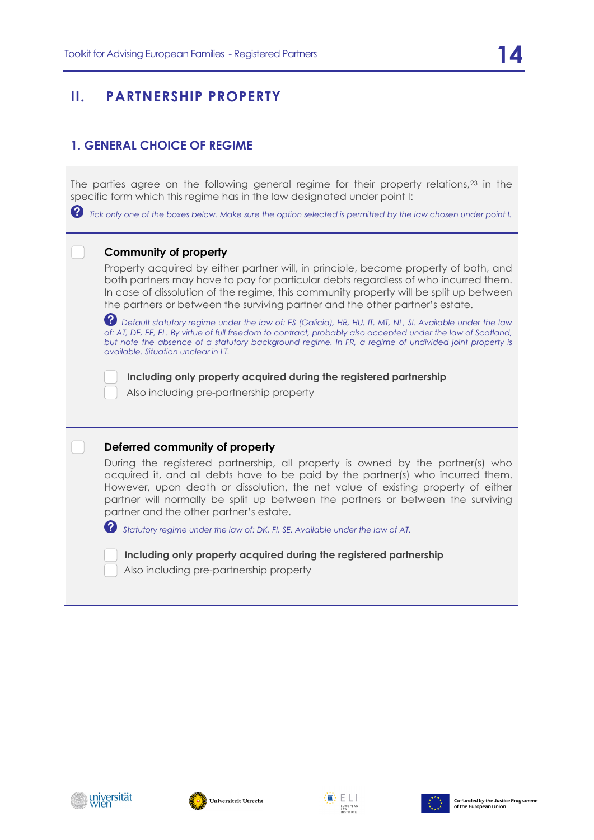## **II. PARTNERSHIP PROPERTY**

### **1. GENERAL CHOICE OF REGIME**

The parties agree on the following general regime for their property relations,[23](#page-22-1) in the specific form which this regime has in the law designated under point I:

 *Tick only one of the boxes below. Make sure the option selected is permitted by the law chosen under point I.* 

#### **Community of property**

Property acquired by either partner will, in principle, become property of both, and both partners may have to pay for particular debts regardless of who incurred them. In case of dissolution of the regime, this community property will be split up between the partners or between the surviving partner and the other partner's estate.

*Default statutory regime under the law of: ES (Galicia), HR, HU, IT, MT, NL, SI. Available under the law*  of: AT, DE, EE, EL. By virtue of full freedom to contract, probably also accepted under the law of Scotland, *but note the absence of a statutory background regime. In FR, a regime of undivided joint property is available. Situation unclear in LT.*

**Including only property acquired during the registered partnership**

Also including pre-partnership property

#### **Deferred community of property**

During the registered partnership, all property is owned by the partner(s) who acquired it, and all debts have to be paid by the partner(s) who incurred them. However, upon death or dissolution, the net value of existing property of either partner will normally be split up between the partners or between the surviving partner and the other partner's estate.

*Statutory regime under the law of: DK, FI, SE. Available under the law of AT.* 

**Including only property acquired during the registered partnership** Also including pre-partnership property







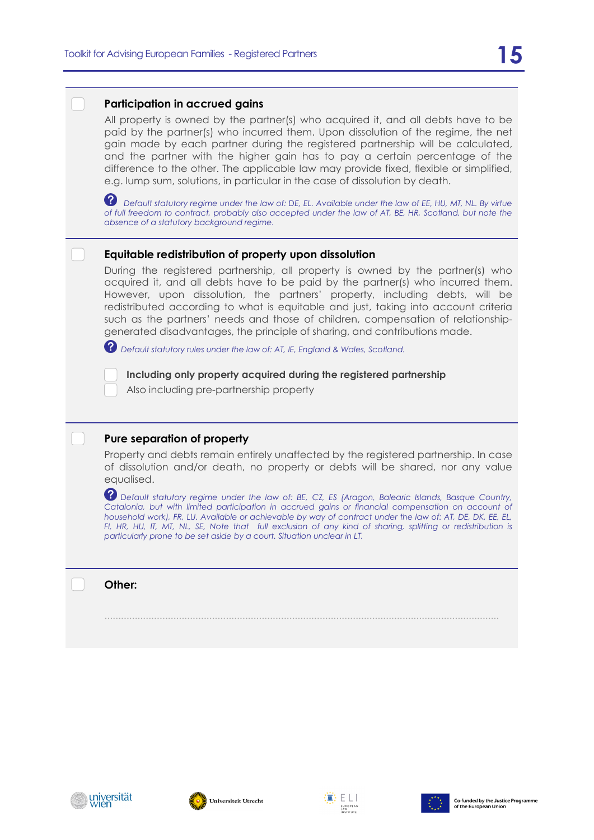#### **Participation in accrued gains**

All property is owned by the partner(s) who acquired it, and all debts have to be paid by the partner(s) who incurred them. Upon dissolution of the regime, the net gain made by each partner during the registered partnership will be calculated, and the partner with the higher gain has to pay a certain percentage of the difference to the other. The applicable law may provide fixed, flexible or simplified, e.g. lump sum, solutions, in particular in the case of dissolution by death.

**2** Default statutory regime under the law of: DE, EL. Available under the law of EE, HU, MT, NL. By virtue *of full freedom to contract, probably also accepted under the law of AT, BE, HR, Scotland, but note the absence of a statutory background regime.* 

#### **Equitable redistribution of property upon dissolution**

During the registered partnership, all property is owned by the partner(s) who acquired it, and all debts have to be paid by the partner(s) who incurred them. However, upon dissolution, the partners' property, including debts, will be redistributed according to what is equitable and just, taking into account criteria such as the partners' needs and those of children, compensation of relationshipgenerated disadvantages, the principle of sharing, and contributions made.

*Default statutory rules under the law of: AT, IE, England & Wales, Scotland.* 

**Including only property acquired during the registered partnership**

Also including pre-partnership property

#### **Pure separation of property**

Property and debts remain entirely unaffected by the registered partnership. In case of dissolution and/or death, no property or debts will be shared, nor any value equalised.

*Default statutory regime under the law of: BE, CZ, ES (Aragon, Balearic Islands, Basque Country,*  Catalonia, but with limited participation in accrued gains or financial compensation on account of *household work), FR, LU. Available or achievable by way of contract under the law of: AT, DE, DK, EE, EL, FI, HR, HU, IT, MT, NL, SE, Note that full exclusion of any kind of sharing, splitting or redistribution is particularly prone to be set aside by a court. Situation unclear in LT.*

...............................................................................................................................................

**Other:** 







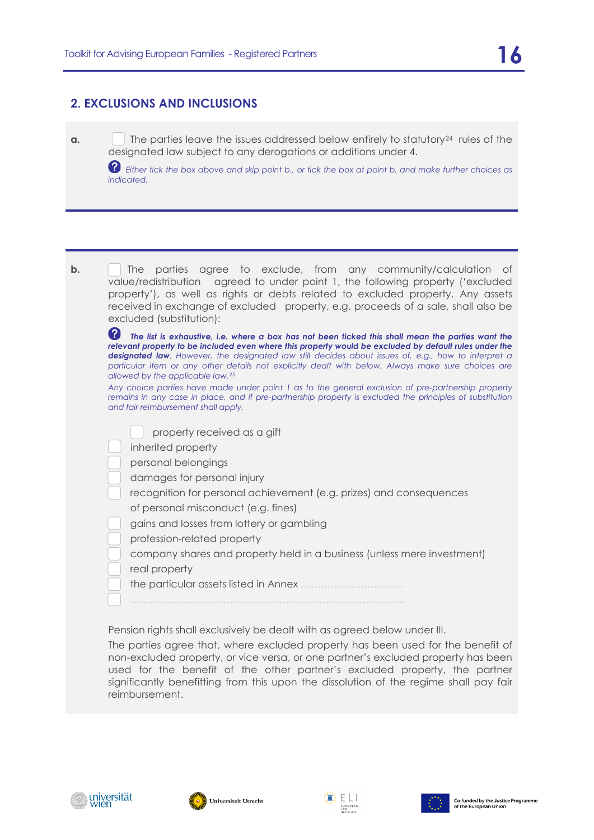#### **2. EXCLUSIONS AND INCLUSIONS**

**a.** The parties leave the issues addressed below entirely to statutory<sup>24</sup> rules of the designated law subject to any derogations or additions under 4.

 *Either tick the box above and skip point b., or tick the box at point b. and make further choices as indicated.*

| b. | The parties agree to exclude, from any community/calculation of<br>value/redistribution agreed to under point 1, the following property ('excluded<br>property'), as well as rights or debts related to excluded property. Any assets<br>received in exchange of excluded property, e.g. proceeds of a sale, shall also be<br>excluded (substitution):                                                                                                                               |
|----|--------------------------------------------------------------------------------------------------------------------------------------------------------------------------------------------------------------------------------------------------------------------------------------------------------------------------------------------------------------------------------------------------------------------------------------------------------------------------------------|
|    | 2<br>The list is exhaustive, i.e. where a box has not been ticked this shall mean the parties want the<br>relevant property to be included even where this property would be excluded by default rules under the<br><b>designated law.</b> However, the designated law still decides about issues of, e.g., how to interpret a<br>particular item or any other details not explicitly dealt with below. Always make sure choices are<br>allowed by the applicable law. <sup>25</sup> |
|    | Any choice parties have made under point 1 as to the general exclusion of pre-partnership property<br>remains in any case in place, and if pre-partnership property is excluded the principles of substitution<br>and fair reimbursement shall apply.                                                                                                                                                                                                                                |
|    | property received as a gift<br>inherited property<br>personal belongings<br>damages for personal injury<br>recognition for personal achievement (e.g. prizes) and consequences<br>of personal misconduct (e.g. fines)<br>gains and losses from lottery or gambling<br>profession-related property<br>company shares and property held in a business (unless mere investment)<br>real property                                                                                        |
|    |                                                                                                                                                                                                                                                                                                                                                                                                                                                                                      |

Pension rights shall exclusively be dealt with as agreed below under III.

The parties agree that, where excluded property has been used for the benefit of non-excluded property, or vice versa, or one partner's excluded property has been used for the benefit of the other partner's excluded property, the partner significantly benefitting from this upon the dissolution of the regime shall pay fair reimbursement.







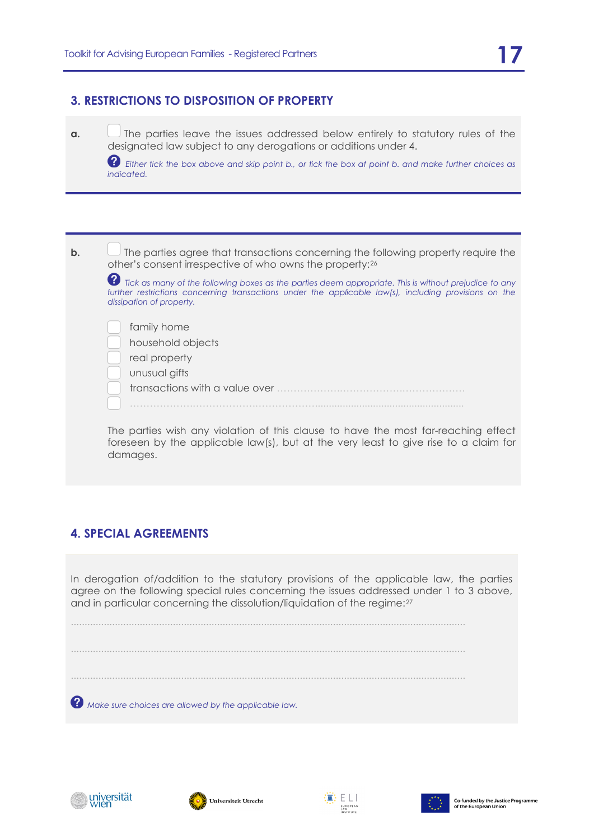#### **3. RESTRICTIONS TO DISPOSITION OF PROPERTY**

**a.** The parties leave the issues addressed below entirely to statutory rules of the designated law subject to any derogations or additions under 4.

 *Either tick the box above and skip point b., or tick the box at point b. and make further choices as indicated.*

**b.**  $\Box$  The parties agree that transactions concerning the following property require the other's consent irrespective of who owns the property:[26](#page-22-4)  $\bullet$  *Tick as many of the following boxes as the parties deem appropriate. This is without prejudice to any* further restrictions concerning transactions under the applicable law(s), including provisions on the *dissipation of property.* family home household objects real property unusual gifts transactions with a value over ……………….……………….………………. ……………….……………….………………...................................................... The parties wish any violation of this clause to have the most far-reaching effect foreseen by the applicable law(s), but at the very least to give rise to a claim for

### **4. SPECIAL AGREEMENTS**

damages.

In derogation of/addition to the statutory provisions of the applicable law, the parties agree on the following special rules concerning the issues addressed under 1 to 3 above, and in particular concerning the dissolution/liquidation of the regime:[27](#page-22-5)

............................................................................................................................................... ............................................................................................................................................... ...............................................................................................................................................  *Make sure choices are allowed by the applicable law.*







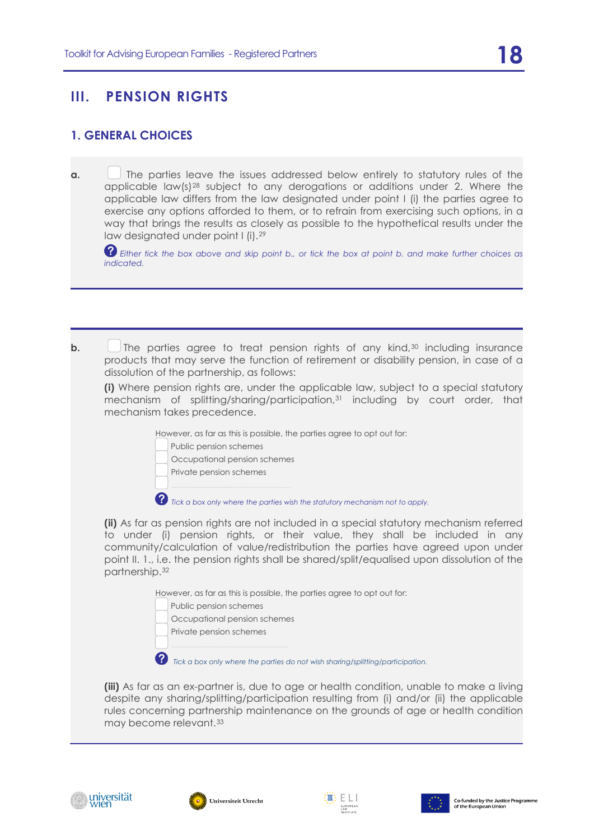## **III. PENSION RIGHTS**

#### **1. GENERAL CHOICES**

**a.** The parties leave the issues addressed below entirely to statutory rules of the applicable  $\text{law}(s)$ <sup>[28](#page-22-6)</sup> subject to any derogations or additions under 2. Where the applicable law differs from the law designated under point I (i) the parties agree to exercise any options afforded to them, or to refrain from exercising such options, in a way that brings the results as closely as possible to the hypothetical results under the law designated under point I (i).[29](#page-23-0)

*Either tick the box above and skip point b., or tick the box at point b. and make further choices as indicated.*

**b.** The parties agree to treat pension rights of any kind,<sup>[30](#page-23-1)</sup> including insurance products that may serve the function of retirement or disability pension, in case of a dissolution of the partnership, as follows:

**(i)** Where pension rights are, under the applicable law, subject to a special statutory mechanism of splitting/sharing/participation,[31](#page-23-2) including by court order, that mechanism takes precedence.

However, as far as this is possible, the parties agree to opt out for:

Public pension schemes

Occupational pension schemes

Private pension schemes

 $\bullet$  Tick a box only where the parties wish the statutory mechanism not to apply.

**(ii)** As far as pension rights are not included in a special statutory mechanism referred to under (i) pension rights, or their value, they shall be included in any community/calculation of value/redistribution the parties have agreed upon under point II. 1., i.e. the pension rights shall be shared/split/equalised upon dissolution of the partnership.[32](#page-23-3)

However, as far as this is possible, the parties agree to opt out for:

Public pension schemes

Occupational pension schemes

Private pension schemes

 *Tick a box only where the parties do not wish sharing/splitting/participation.* 

**(iii)** As far as an ex-partner is, due to age or health condition, unable to make a living despite any sharing/splitting/participation resulting from (i) and/or (ii) the applicable rules concerning partnership maintenance on the grounds of age or health condition may become relevant.[33](#page-23-4)







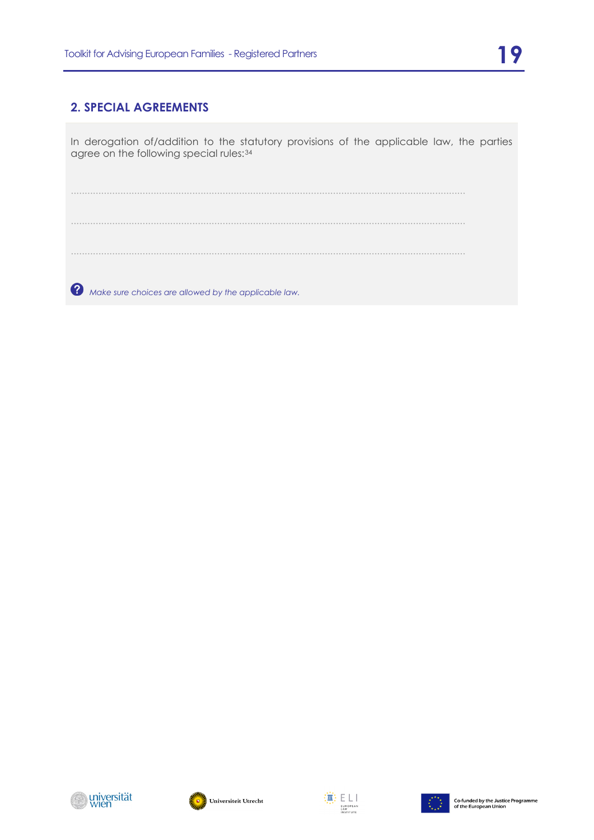#### **2. SPECIAL AGREEMENTS**

In derogation of/addition to the statutory provisions of the applicable law, the parties agree on the following special rules:[34](#page-23-5)

............................................................................................................................................... ...............................................................................................................................................

 *Make sure choices are allowed by the applicable law.*







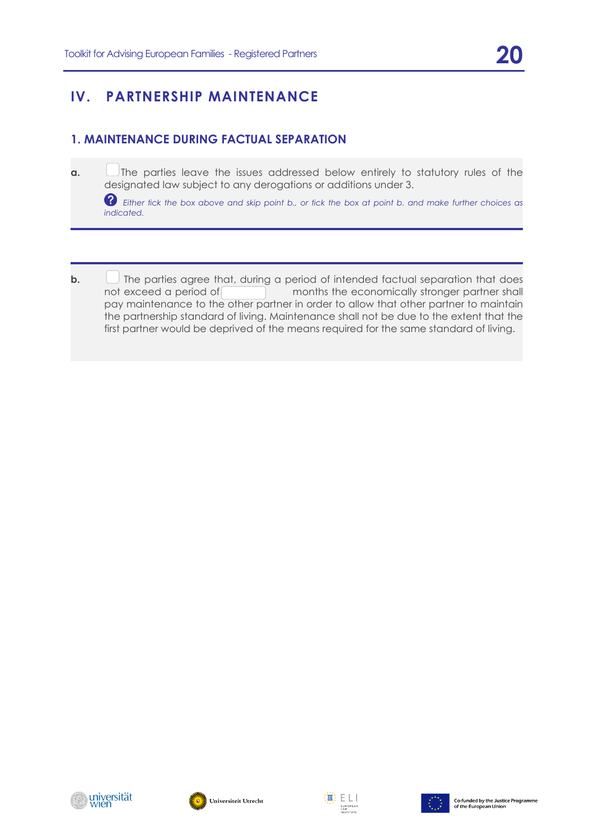## **IV. PARTNERSHIP MAINTENANCE**

#### <span id="page-19-0"></span>**1. MAINTENANCE DURING FACTUAL SEPARATION**

<span id="page-19-1"></span>**a.** The parties leave the issues addressed below entirely to statutory rules of the designated law subject to any derogations or additions under 3.

 *Either tick the box above and skip point b., or tick the box at point b. and make further choices as indicated.*

- <span id="page-19-2"></span>
- <span id="page-19-5"></span><span id="page-19-4"></span><span id="page-19-3"></span>**b.**  $\Box$  The parties agree that, during a period of intended factual separation that does not exceed a period of months the economically stronger partner shall pay maintenance to the other partner in order to allow that other partner to maintain the partnership standard of living. Maintenance shall not be due to the extent that the first partner would be deprived of the means required for the same standard of living.

<span id="page-19-9"></span><span id="page-19-8"></span><span id="page-19-7"></span><span id="page-19-6"></span>



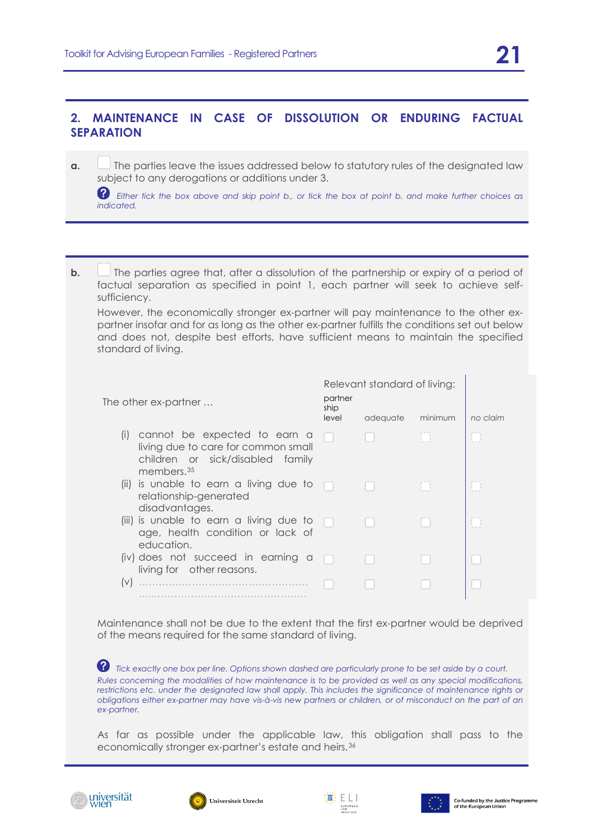#### **2. MAINTENANCE IN CASE OF DISSOLUTION OR ENDURING FACTUAL SEPARATION**

<span id="page-20-0"></span>**a.**  $\Box$  The parties leave the issues addressed below to statutory rules of the designated law subject to any derogations or additions under 3.

 *Either tick the box above and skip point b., or tick the box at point b. and make further choices as indicated.*

<span id="page-20-1"></span>**b.**  $\Box$  The parties agree that, after a dissolution of the partnership or expiry of a period of factual separation as specified in point 1, each partner will seek to achieve selfsufficiency.

However, the economically stronger ex-partner will pay maintenance to the other expartner insofar and for as long as the other ex-partner fulfills the conditions set out below and does not, despite best efforts, have sufficient means to maintain the specified standard of living.

<span id="page-20-3"></span><span id="page-20-2"></span>

| The other ex-partner                                                                                                                     | partner<br>ship<br>level | Relevant standard of living:<br>adequate | minimum     | no claim |
|------------------------------------------------------------------------------------------------------------------------------------------|--------------------------|------------------------------------------|-------------|----------|
| cannot be expected to earn a<br>(i)<br>living due to care for common small<br>children or sick/disabled family<br>members. <sup>35</sup> |                          |                                          | <b>I</b>    | H        |
| (ii) is unable to earn a living due to<br>relationship-generated<br>disadvantages.                                                       |                          |                                          | <b>Form</b> |          |
| (iii) is unable to earn a living due to<br>age, health condition or lack of<br>education.                                                |                          |                                          |             |          |
| (iv) does not succeed in earning a<br>living for other reasons.                                                                          |                          |                                          |             |          |
| $(\vee)$                                                                                                                                 |                          |                                          |             |          |

<span id="page-20-5"></span><span id="page-20-4"></span>Maintenance shall not be due to the extent that the first ex-partner would be deprived of the means required for the same standard of living.

*Tick exactly one box per line. Options shown dashed are particularly prone to be set aside by a court. Rules concerning the modalities of how maintenance is to be provided as well as any special modifications,*  restrictions etc. under the designated law shall apply. This includes the significance of maintenance rights or *obligations either ex-partner may have vis-à-vis new partners or children, or of misconduct on the part of an ex-partner.*

As far as possible under the applicable law, this obligation shall pass to the economically stronger ex-partner's estate and heirs.[36](#page-23-7)







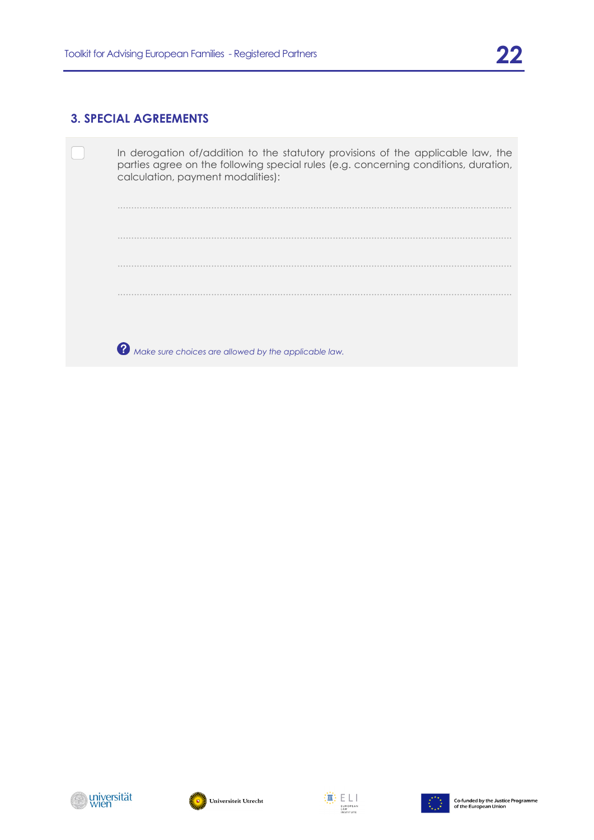#### **3. SPECIAL AGREEMENTS**

<span id="page-21-0"></span>

<span id="page-21-4"></span><span id="page-21-3"></span><span id="page-21-2"></span><span id="page-21-1"></span>





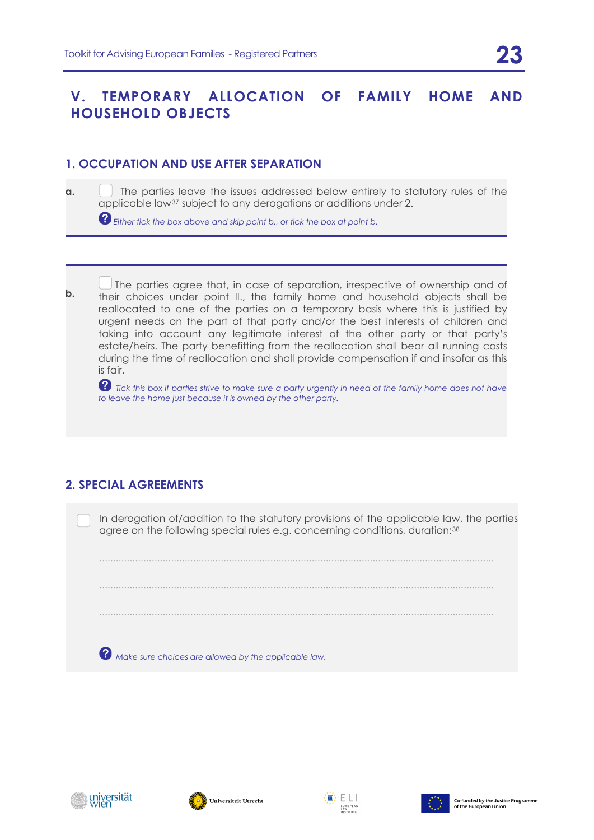## <span id="page-22-0"></span>**V. TEMPORARY ALLOCATION OF FAMILY HOME AND HOUSEHOLD OBJECTS**

#### **1. OCCUPATION AND USE AFTER SEPARATION**

**a. I** The parties leave the issues addressed below entirely to statutory rules of the applicable law[37](#page-23-8) subject to any derogations or additions under 2.

*Either tick the box above and skip point b., or tick the box at point b.*

<span id="page-22-1"></span>The parties agree that, in case of separation, irrespective of ownership and of **b.**<br> **b.** their obsises under paint II, the family began and beyspheld objects shall be their choices under point II., the family home and household objects shall be reallocated to one of the parties on a temporary basis where this is justified by urgent needs on the part of that party and/or the best interests of children and taking into account any legitimate interest of the other party or that party's estate/heirs. The party benefitting from the reallocation shall bear all running costs during the time of reallocation and shall provide compensation if and insofar as this is fair.

**?** Tick this box if parties strive to make sure a party urgently in need of the family home does not have *to leave the home just because it is owned by the other party.*

### <span id="page-22-4"></span><span id="page-22-3"></span><span id="page-22-2"></span>**2. SPECIAL AGREEMENTS**

In derogation of/addition to the statutory provisions of the applicable law, the parties agree on the following special rules e.g. concerning conditions, duration:[38](#page-24-0) 

...............................................................................................................................................

...............................................................................................................................................

<span id="page-22-5"></span> *Make sure choices are allowed by the applicable law.*

...............................................................................................................................................

<span id="page-22-6"></span>





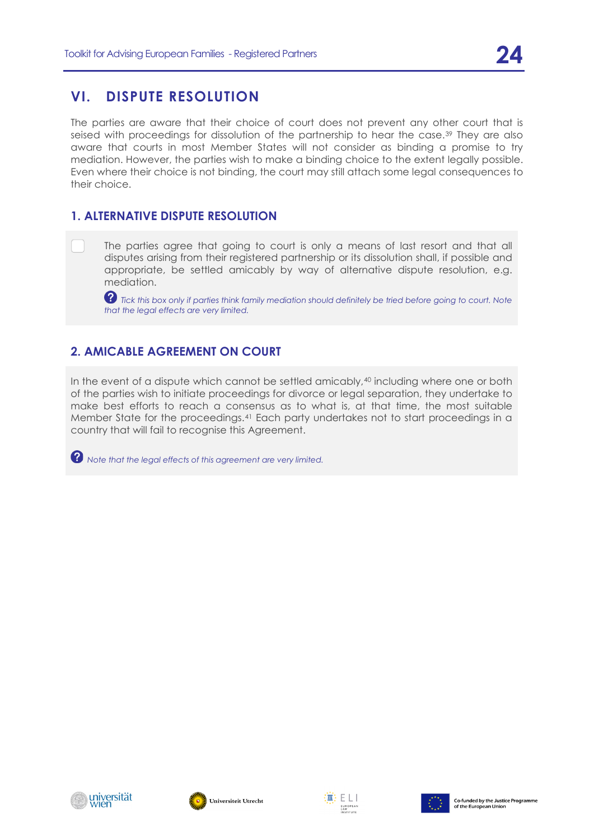## **VI. DISPUTE RESOLUTION**

<span id="page-23-0"></span>The parties are aware that their choice of court does not prevent any other court that is seised with proceedings for dissolution of the partnership to hear the case.[39](#page-24-1) They are also aware that courts in most Member States will not consider as binding a promise to try mediation. However, the parties wish to make a binding choice to the extent legally possible. Even where their choice is not binding, the court may still attach some legal consequences to their choice.

#### <span id="page-23-2"></span><span id="page-23-1"></span>**1. ALTERNATIVE DISPUTE RESOLUTION**

The parties agree that going to court is only a means of last resort and that all disputes arising from their registered partnership or its dissolution shall, if possible and appropriate, be settled amicably by way of alternative dispute resolution, e.g. mediation.

 $\bullet$  Tick this box only if parties think family mediation should definitely be tried before going to court. Note *that the legal effects are very limited.*

### **2. AMICABLE AGREEMENT ON COURT**

<span id="page-23-3"></span>In the event of a dispute which cannot be settled amicably,<sup>[40](#page-24-2)</sup> including where one or both of the parties wish to initiate proceedings for divorce or legal separation, they undertake to make best efforts to reach a consensus as to what is, at that time, the most suitable Member State for the proceedings.[41](#page-24-3) Each party undertakes not to start proceedings in a country that will fail to recognise this Agreement.

<span id="page-23-6"></span><span id="page-23-5"></span><span id="page-23-4"></span>*Note that the legal effects of this agreement are very limited.*

<span id="page-23-8"></span><span id="page-23-7"></span>





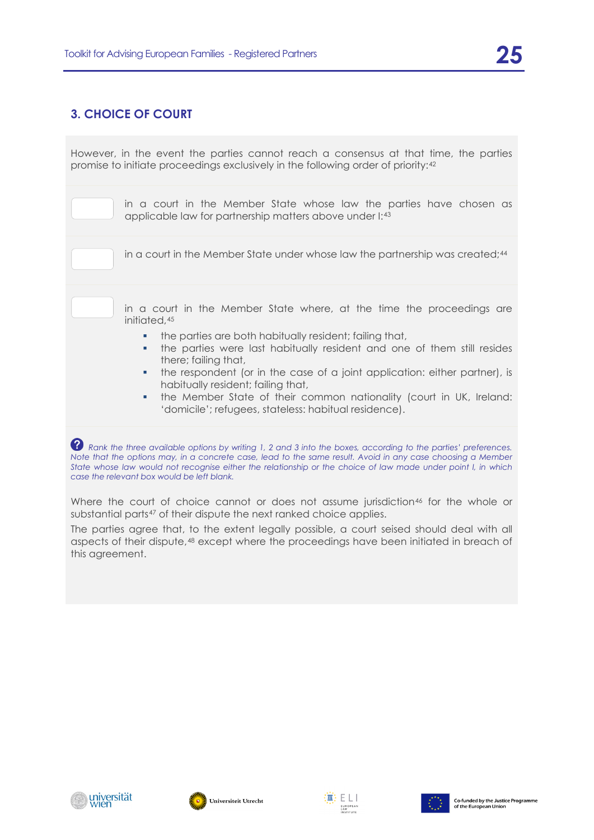### **3. CHOICE OF COURT**

<span id="page-24-1"></span><span id="page-24-0"></span>However, in the event the parties cannot reach a consensus at that time, the parties promise to initiate proceedings exclusively in the following order of priority:[42](#page-24-4)

> in a court in the Member State whose law the parties have chosen as applicable law for partnership matters above under I:[43](#page-24-5)

| in a court in the Member State under whose law the partnership was created; <sup>44</sup> |
|-------------------------------------------------------------------------------------------|
|                                                                                           |

in a court in the Member State where, at the time the proceedings are initiated, 45

- the parties are both habitually resident; failing that,
- the parties were last habitually resident and one of them still resides there; failing that,
- the respondent (or in the case of a joint application: either partner), is habitually resident; failing that,
- the Member State of their common nationality (court in UK, Ireland: 'domicile'; refugees, stateless: habitual residence).

*P* Rank the three available options by writing 1, 2 and 3 into the boxes, according to the parties' preferences. *Note that the options may, in a concrete case, lead to the same result. Avoid in any case choosing a Member State whose law would not recognise either the relationship or the choice of law made under point I, in which case the relevant box would be left blank.* 

Where the court of choice cannot or does not assume jurisdiction<sup>[46](#page-25-2)</sup> for the whole or substantial parts<sup>[47](#page-25-3)</sup> of their dispute the next ranked choice applies.

<span id="page-24-3"></span><span id="page-24-2"></span>The parties agree that, to the extent legally possible, a court seised should deal with all aspects of their dispute,[48](#page-25-4) except where the proceedings have been initiated in breach of this agreement.

<span id="page-24-5"></span><span id="page-24-4"></span>





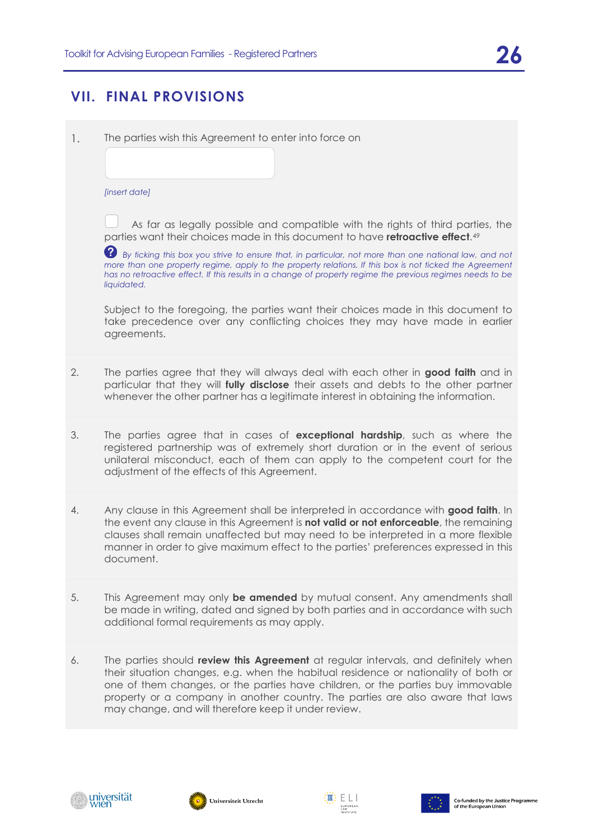## **VII. FINAL PROVISIONS**

<span id="page-25-1"></span><span id="page-25-0"></span>1. The parties wish this Agreement to enter into force on

*[insert date]*

As far as legally possible and compatible with the rights of third parties, the parties want their choices made in this document to have **retroactive effect**.[49](#page-25-5)

<span id="page-25-2"></span>*By ticking this box you strive to ensure that, in particular, not more than one national law, and not more than one property regime, apply to the property relations. If this box is not ticked the Agreement has no retroactive effect. If this results in a change of property regime the previous regimes needs to be liquidated.*

Subject to the foregoing, the parties want their choices made in this document to take precedence over any conflicting choices they may have made in earlier agreements.

- <span id="page-25-4"></span><span id="page-25-3"></span>2. The parties agree that they will always deal with each other in **good faith** and in particular that they will **fully disclose** their assets and debts to the other partner whenever the other partner has a legitimate interest in obtaining the information.
- 3. The parties agree that in cases of **exceptional hardship**, such as where the registered partnership was of extremely short duration or in the event of serious unilateral misconduct, each of them can apply to the competent court for the adjustment of the effects of this Agreement.
- <span id="page-25-5"></span>4. Any clause in this Agreement shall be interpreted in accordance with **good faith**. In the event any clause in this Agreement is **not valid or not enforceable**, the remaining clauses shall remain unaffected but may need to be interpreted in a more flexible manner in order to give maximum effect to the parties' preferences expressed in this document.
- 5. This Agreement may only **be amended** by mutual consent. Any amendments shall be made in writing, dated and signed by both parties and in accordance with such additional formal requirements as may apply.
- 6. The parties should **review this Agreement** at regular intervals, and definitely when their situation changes, e.g. when the habitual residence or nationality of both or one of them changes, or the parties have children, or the parties buy immovable property or a company in another country. The parties are also aware that laws may change, and will therefore keep it under review.







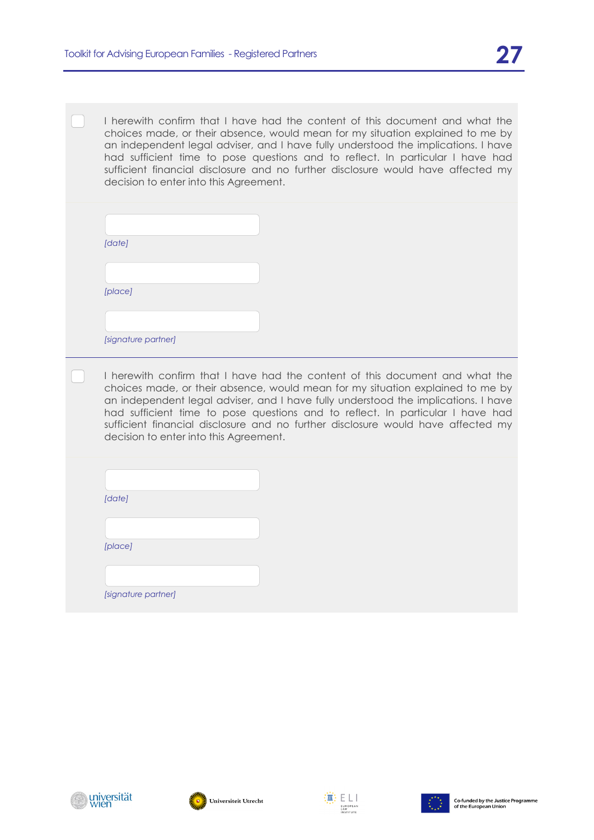I herewith confirm that I have had the content of this document and what the choices made, or their absence, would mean for my situation explained to me by an independent legal adviser, and I have fully understood the implications. I have had sufficient time to pose questions and to reflect. In particular I have had sufficient financial disclosure and no further disclosure would have affected my decision to enter into this Agreement.

| [date]              |  |
|---------------------|--|
|                     |  |
| [place]             |  |
|                     |  |
| [signature partner] |  |

I herewith confirm that I have had the content of this document and what the choices made, or their absence, would mean for my situation explained to me by an independent legal adviser, and I have fully understood the implications. I have had sufficient time to pose questions and to reflect. In particular I have had sufficient financial disclosure and no further disclosure would have affected my decision to enter into this Agreement.

| [date]              |  |
|---------------------|--|
|                     |  |
| [place]             |  |
|                     |  |
|                     |  |
| [signature partner] |  |







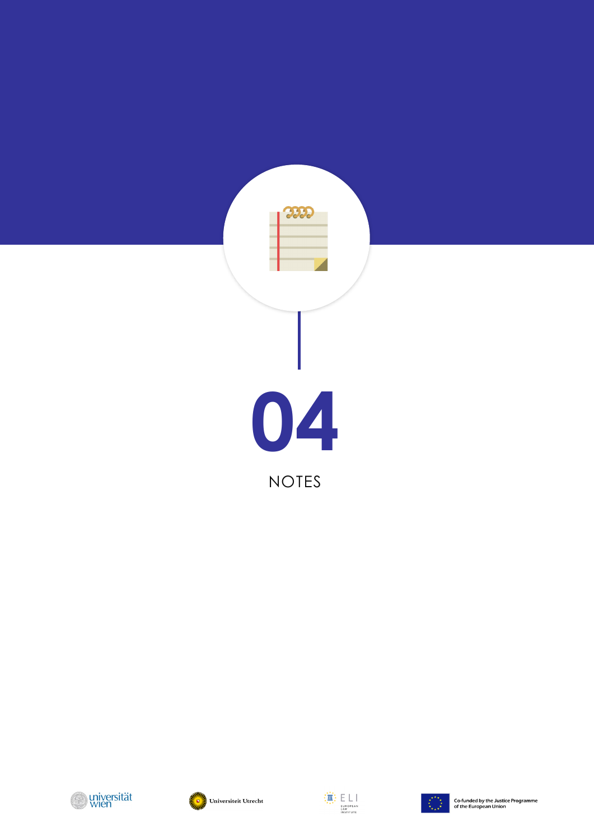







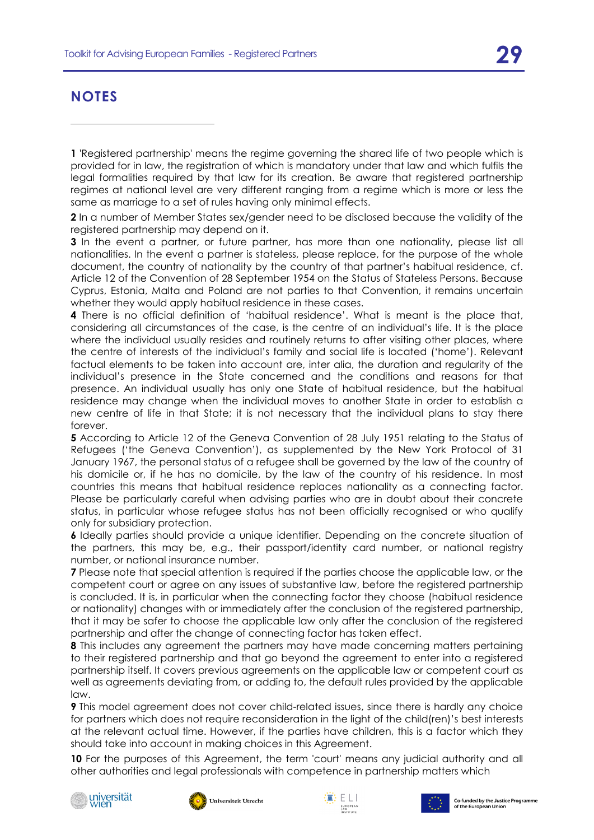## **NOTES**

**2** In a number of Member States sex/gender need to be disclosed because the validity of the registered partnership may depend on it.

**3** In the event a partner, or future partner, has more than one nationality, please list all nationalities. In the event a partner is stateless, please replace, for the purpose of the whole document, the country of nationality by the country of that partner's habitual residence, cf. Article 12 of the Convention of 28 September 1954 on the Status of Stateless Persons. Because Cyprus, Estonia, Malta and Poland are not parties to that Convention, it remains uncertain whether they would apply habitual residence in these cases.

**4** There is no official definition of 'habitual residence'. What is meant is the place that, considering all circumstances of the case, is the centre of an individual's life. It is the place where the individual usually resides and routinely returns to after visiting other places, where the centre of interests of the individual's family and social life is located ('home'). Relevant factual elements to be taken into account are, inter alia, the duration and regularity of the individual's presence in the State concerned and the conditions and reasons for that presence. An individual usually has only one State of habitual residence, but the habitual residence may change when the individual moves to another State in order to establish a new centre of life in that State; it is not necessary that the individual plans to stay there forever.

**5** According to Article 12 of the Geneva Convention of 28 July 1951 relating to the Status of Refugees ('the Geneva Convention'), as supplemented by the New York Protocol of 31 January 1967, the personal status of a refugee shall be governed by the law of the country of his domicile or, if he has no domicile, by the law of the country of his residence. In most countries this means that habitual residence replaces nationality as a connecting factor. Please be particularly careful when advising parties who are in doubt about their concrete status, in particular whose refugee status has not been officially recognised or who qualify only for subsidiary protection.

**6** Ideally parties should provide a unique identifier. Depending on the concrete situation of the partners, this may be, e.g., their passport/identity card number, or national registry number, or national insurance number.

**7** Please note that special attention is required if the parties choose the applicable law, or the competent court or agree on any issues of substantive law, before the registered partnership is concluded. It is, in particular when the connecting factor they choose (habitual residence or nationality) changes with or immediately after the conclusion of the registered partnership, that it may be safer to choose the applicable law only after the conclusion of the registered partnership and after the change of connecting factor has taken effect.

**8** This includes any agreement the partners may have made concerning matters pertaining to their registered partnership and that go beyond the agreement to enter into a registered partnership itself. It covers previous agreements on the applicable law or competent court as well as agreements deviating from, or adding to, the default rules provided by the applicable law.

**9** This model agreement does not cover child-related issues, since there is hardly any choice for partners which does not require reconsideration in the light of the child(ren)'s best interests at the relevant actual time. However, if the parties have children, this is a factor which they should take into account in making choices in this Agreement.

**10** For the purposes of this Agreement, the term 'court' means any judicial authority and all other authorities and legal professionals with competence in partnership matters which









**<sup>1</sup>** 'Registered partnership' means the regime governing the shared life of two people which is provided for in law, the registration of which is mandatory under that law and which fulfils the legal formalities required by that law for its creation. Be aware that registered partnership regimes at national level are very different ranging from a regime which is more or less the same as marriage to a set of rules having only minimal effects.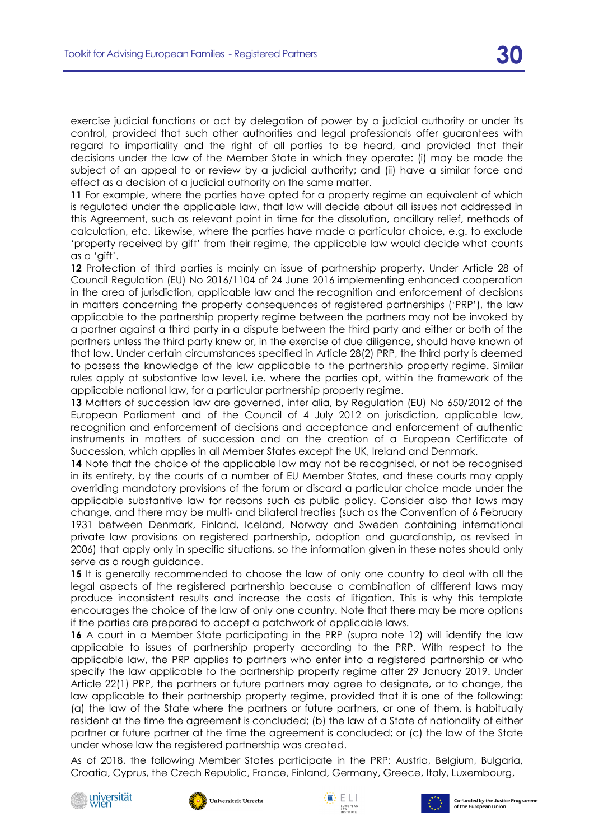exercise judicial functions or act by delegation of power by a judicial authority or under its control, provided that such other authorities and legal professionals offer guarantees with regard to impartiality and the right of all parties to be heard, and provided that their decisions under the law of the Member State in which they operate: (i) may be made the subject of an appeal to or review by a judicial authority; and (ii) have a similar force and effect as a decision of a judicial authority on the same matter.

**11** For example, where the parties have opted for a property regime an equivalent of which is regulated under the applicable law, that law will decide about all issues not addressed in this Agreement, such as relevant point in time for the dissolution, ancillary relief, methods of calculation, etc. Likewise, where the parties have made a particular choice, e.g. to exclude 'property received by gift' from their regime, the applicable law would decide what counts as a 'gift'.

**12** Protection of third parties is mainly an issue of partnership property. Under Article 28 of Council Regulation (EU) No 2016/1104 of 24 June 2016 implementing enhanced cooperation in the area of jurisdiction, applicable law and the recognition and enforcement of decisions in matters concerning the property consequences of registered partnerships ('PRP'), the law applicable to the partnership property regime between the partners may not be invoked by a partner against a third party in a dispute between the third party and either or both of the partners unless the third party knew or, in the exercise of due diligence, should have known of that law. Under certain circumstances specified in Article 28(2) PRP, the third party is deemed to possess the knowledge of the law applicable to the partnership property regime. Similar rules apply at substantive law level, i.e. where the parties opt, within the framework of the applicable national law, for a particular partnership property regime.

**13** Matters of succession law are governed, inter alia, by Regulation (EU) No 650/2012 of the European Parliament and of the Council of 4 July 2012 on jurisdiction, applicable law, recognition and enforcement of decisions and acceptance and enforcement of authentic instruments in matters of succession and on the creation of a European Certificate of Succession, which applies in all Member States except the UK, Ireland and Denmark.

14 Note that the choice of the applicable law may not be recognised, or not be recognised in its entirety, by the courts of a number of EU Member States, and these courts may apply overriding mandatory provisions of the forum or discard a particular choice made under the applicable substantive law for reasons such as public policy. Consider also that laws may change, and there may be multi- and bilateral treaties (such as the Convention of 6 February 1931 between Denmark, Finland, Iceland, Norway and Sweden containing international private law provisions on registered partnership, adoption and guardianship, as revised in 2006) that apply only in specific situations, so the information given in these notes should only serve as a rough guidance.

**15** It is generally recommended to choose the law of only one country to deal with all the legal aspects of the registered partnership because a combination of different laws may produce inconsistent results and increase the costs of litigation. This is why this template encourages the choice of the law of only one country. Note that there may be more options if the parties are prepared to accept a patchwork of applicable laws.

**16** A court in a Member State participating in the PRP (supra note [12\)](#page-11-0) will identify the law applicable to issues of partnership property according to the PRP. With respect to the applicable law, the PRP applies to partners who enter into a registered partnership or who specify the law applicable to the partnership property regime after 29 January 2019. Under Article 22(1) PRP, the partners or future partners may agree to designate, or to change, the law applicable to their partnership property regime, provided that it is one of the following: (a) the law of the State where the partners or future partners, or one of them, is habitually resident at the time the agreement is concluded; (b) the law of a State of nationality of either partner or future partner at the time the agreement is concluded; or (c) the law of the State under whose law the registered partnership was created.

As of 2018, the following Member States participate in the PRP: Austria, Belgium, Bulgaria, Croatia, Cyprus, the Czech Republic, France, Finland, Germany, Greece, Italy, Luxembourg,







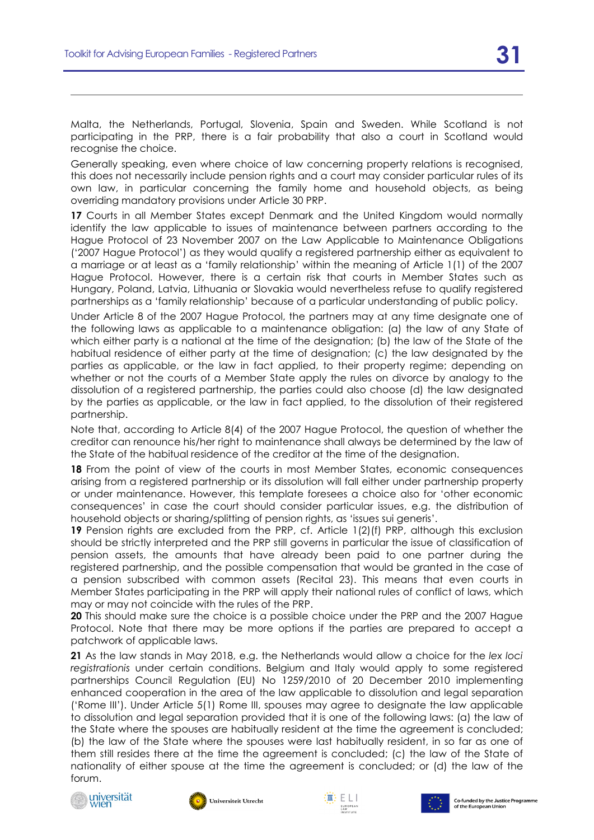Malta, the Netherlands, Portugal, Slovenia, Spain and Sweden. While Scotland is not participating in the PRP, there is a fair probability that also a court in Scotland would recognise the choice.

Generally speaking, even where choice of law concerning property relations is recognised, this does not necessarily include pension rights and a court may consider particular rules of its own law, in particular concerning the family home and household objects, as being overriding mandatory provisions under Article 30 PRP.

**17** Courts in all Member States except Denmark and the United Kingdom would normally identify the law applicable to issues of maintenance between partners according to the Hague Protocol of 23 November 2007 on the Law Applicable to Maintenance Obligations ('2007 Hague Protocol') as they would qualify a registered partnership either as equivalent to a marriage or at least as a 'family relationship' within the meaning of Article 1(1) of the 2007 Hague Protocol. However, there is a certain risk that courts in Member States such as Hungary, Poland, Latvia, Lithuania or Slovakia would nevertheless refuse to qualify registered partnerships as a 'family relationship' because of a particular understanding of public policy.

Under Article 8 of the 2007 Hague Protocol, the partners may at any time designate one of the following laws as applicable to a maintenance obligation: (a) the law of any State of which either party is a national at the time of the designation; (b) the law of the State of the habitual residence of either party at the time of designation; (c) the law designated by the parties as applicable, or the law in fact applied, to their property regime; depending on whether or not the courts of a Member State apply the rules on divorce by analogy to the dissolution of a registered partnership, the parties could also choose (d) the law designated by the parties as applicable, or the law in fact applied, to the dissolution of their registered partnership.

Note that, according to Article 8(4) of the 2007 Hague Protocol, the question of whether the creditor can renounce his/her right to maintenance shall always be determined by the law of the State of the habitual residence of the creditor at the time of the designation.

**18** From the point of view of the courts in most Member States, economic consequences arising from a registered partnership or its dissolution will fall either under partnership property or under maintenance. However, this template foresees a choice also for 'other economic consequences' in case the court should consider particular issues, e.g. the distribution of household objects or sharing/splitting of pension rights, as 'issues sui generis'.

**19** Pension rights are excluded from the PRP, cf. Article 1(2)(f) PRP, although this exclusion should be strictly interpreted and the PRP still governs in particular the issue of classification of pension assets, the amounts that have already been paid to one partner during the registered partnership, and the possible compensation that would be granted in the case of a pension subscribed with common assets (Recital 23). This means that even courts in Member States participating in the PRP will apply their national rules of conflict of laws, which may or may not coincide with the rules of the PRP.

**20** This should make sure the choice is a possible choice under the PRP and the 2007 Hague Protocol. Note that there may be more options if the parties are prepared to accept a patchwork of applicable laws.

**21** As the law stands in May 2018, e.g. the Netherlands would allow a choice for the *lex loci registrationis* under certain conditions. Belgium and Italy would apply to some registered partnerships Council Regulation (EU) No 1259/2010 of 20 December 2010 implementing enhanced cooperation in the area of the law applicable to dissolution and legal separation ('Rome III'). Under Article 5(1) Rome III, spouses may agree to designate the law applicable to dissolution and legal separation provided that it is one of the following laws: (a) the law of the State where the spouses are habitually resident at the time the agreement is concluded; (b) the law of the State where the spouses were last habitually resident, in so far as one of them still resides there at the time the agreement is concluded; (c) the law of the State of nationality of either spouse at the time the agreement is concluded; or (d) the law of the forum.







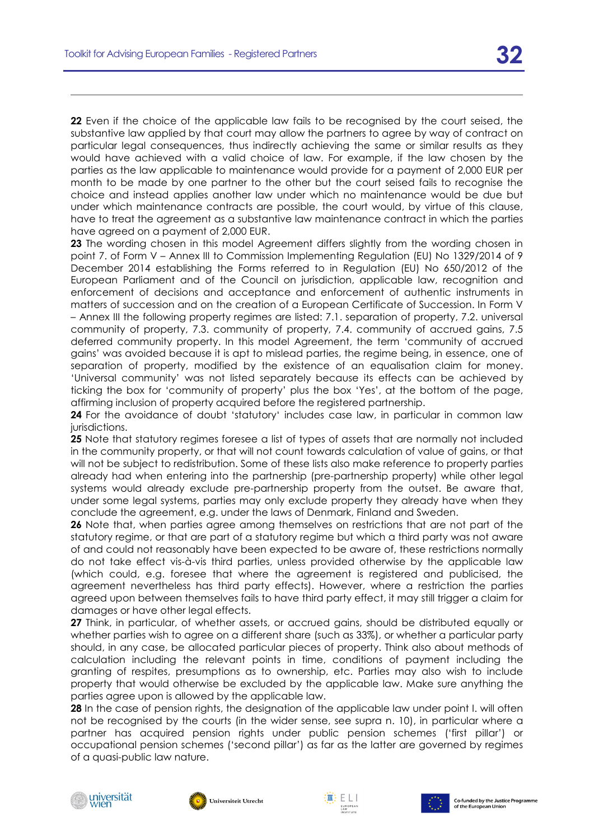**22** Even if the choice of the applicable law fails to be recognised by the court seised, the substantive law applied by that court may allow the partners to agree by way of contract on particular legal consequences, thus indirectly achieving the same or similar results as they would have achieved with a valid choice of law. For example, if the law chosen by the parties as the law applicable to maintenance would provide for a payment of 2,000 EUR per month to be made by one partner to the other but the court seised fails to recognise the choice and instead applies another law under which no maintenance would be due but under which maintenance contracts are possible, the court would, by virtue of this clause, have to treat the agreement as a substantive law maintenance contract in which the parties have agreed on a payment of 2,000 EUR.

**23** The wording chosen in this model Agreement differs slightly from the wording chosen in point 7. of Form V – Annex III to Commission Implementing Regulation (EU) No 1329/2014 of 9 December 2014 establishing the Forms referred to in Regulation (EU) No 650/2012 of the European Parliament and of the Council on jurisdiction, applicable law, recognition and enforcement of decisions and acceptance and enforcement of authentic instruments in matters of succession and on the creation of a European Certificate of Succession. In Form V – Annex III the following property regimes are listed: 7.1. separation of property, 7.2. universal community of property, 7.3. community of property, 7.4. community of accrued gains, 7.5 deferred community property. In this model Agreement, the term 'community of accrued gains' was avoided because it is apt to mislead parties, the regime being, in essence, one of separation of property, modified by the existence of an equalisation claim for money. 'Universal community' was not listed separately because its effects can be achieved by ticking the box for 'community of property' plus the box 'Yes', at the bottom of the page, affirming inclusion of property acquired before the registered partnership.

**24** For the avoidance of doubt 'statutory' includes case law, in particular in common law jurisdictions.

**25** Note that statutory regimes foresee a list of types of assets that are normally not included in the community property, or that will not count towards calculation of value of gains, or that will not be subject to redistribution. Some of these lists also make reference to property parties already had when entering into the partnership (pre-partnership property) while other legal systems would already exclude pre-partnership property from the outset. Be aware that, under some legal systems, parties may only exclude property they already have when they conclude the agreement, e.g. under the laws of Denmark, Finland and Sweden.

**26** Note that, when parties agree among themselves on restrictions that are not part of the statutory regime, or that are part of a statutory regime but which a third party was not aware of and could not reasonably have been expected to be aware of, these restrictions normally do not take effect vis-à-vis third parties, unless provided otherwise by the applicable law (which could, e.g. foresee that where the agreement is registered and publicised, the agreement nevertheless has third party effects). However, where a restriction the parties agreed upon between themselves fails to have third party effect, it may still trigger a claim for damages or have other legal effects.

**27** Think, in particular, of whether assets, or accrued gains, should be distributed equally or whether parties wish to agree on a different share (such as 33%), or whether a particular party should, in any case, be allocated particular pieces of property. Think also about methods of calculation including the relevant points in time, conditions of payment including the granting of respites, presumptions as to ownership, etc. Parties may also wish to include property that would otherwise be excluded by the applicable law. Make sure anything the parties agree upon is allowed by the applicable law.

**28** In the case of pension rights, the designation of the applicable law under point I. will often not be recognised by the courts (in the wider sense, see supra n. 10), in particular where a partner has acquired pension rights under public pension schemes ('first pillar') or occupational pension schemes ('second pillar') as far as the latter are governed by regimes of a quasi-public law nature.







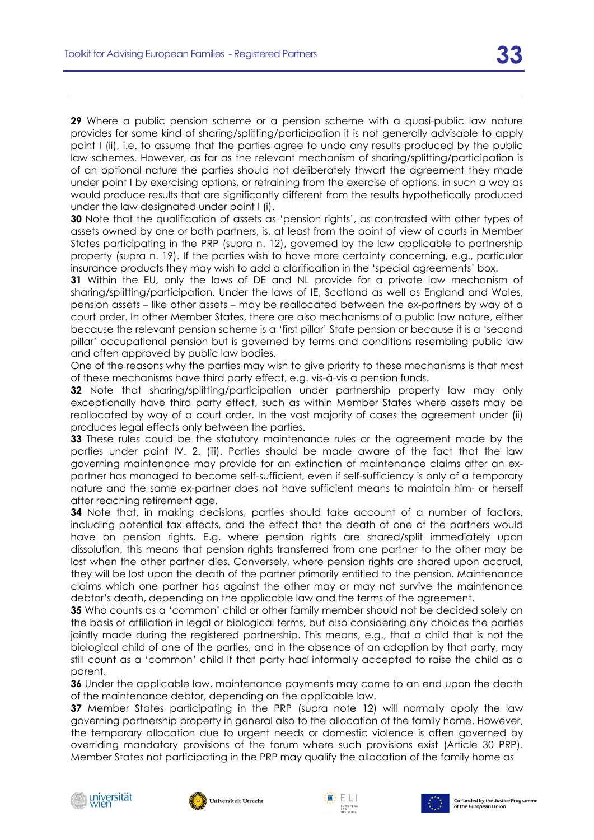**29** Where a public pension scheme or a pension scheme with a quasi-public law nature provides for some kind of sharing/splitting/participation it is not generally advisable to apply point I (ii), i.e. to assume that the parties agree to undo any results produced by the public law schemes. However, as far as the relevant mechanism of sharing/splitting/participation is of an optional nature the parties should not deliberately thwart the agreement they made under point I by exercising options, or refraining from the exercise of options, in such a way as would produce results that are significantly different from the results hypothetically produced under the law designated under point I (i).

**30** Note that the qualification of assets as 'pension rights', as contrasted with other types of assets owned by one or both partners, is, at least from the point of view of courts in Member States participating in the PRP (supra n. 12), governed by the law applicable to partnership property (supra n. 19). If the parties wish to have more certainty concerning, e.g., particular insurance products they may wish to add a clarification in the 'special agreements' box.

**31** Within the EU, only the laws of DE and NL provide for a private law mechanism of sharing/splitting/participation. Under the laws of IE, Scotland as well as England and Wales, pension assets – like other assets – may be reallocated between the ex-partners by way of a court order. In other Member States, there are also mechanisms of a public law nature, either because the relevant pension scheme is a 'first pillar' State pension or because it is a 'second pillar' occupational pension but is governed by terms and conditions resembling public law and often approved by public law bodies.

One of the reasons why the parties may wish to give priority to these mechanisms is that most of these mechanisms have third party effect, e.g. vis-à-vis a pension funds.

**32** Note that sharing/splitting/participation under partnership property law may only exceptionally have third party effect, such as within Member States where assets may be reallocated by way of a court order. In the vast majority of cases the agreement under (ii) produces legal effects only between the parties.

**33** These rules could be the statutory maintenance rules or the agreement made by the parties under point IV. 2. (iii). Parties should be made aware of the fact that the law governing maintenance may provide for an extinction of maintenance claims after an expartner has managed to become self-sufficient, even if self-sufficiency is only of a temporary nature and the same ex-partner does not have sufficient means to maintain him- or herself after reaching retirement age.

**34** Note that, in making decisions, parties should take account of a number of factors, including potential tax effects, and the effect that the death of one of the partners would have on pension rights. E.g. where pension rights are shared/split immediately upon dissolution, this means that pension rights transferred from one partner to the other may be lost when the other partner dies. Conversely, where pension rights are shared upon accrual, they will be lost upon the death of the partner primarily entitled to the pension. Maintenance claims which one partner has against the other may or may not survive the maintenance debtor's death, depending on the applicable law and the terms of the agreement.

**35** Who counts as a 'common' child or other family member should not be decided solely on the basis of affiliation in legal or biological terms, but also considering any choices the parties jointly made during the registered partnership. This means, e.g., that a child that is not the biological child of one of the parties, and in the absence of an adoption by that party, may still count as a 'common' child if that party had informally accepted to raise the child as a parent.

**36** Under the applicable law, maintenance payments may come to an end upon the death of the maintenance debtor, depending on the applicable law.

**37** Member States participating in the PRP (supra note 12) will normally apply the law governing partnership property in general also to the allocation of the family home. However, the temporary allocation due to urgent needs or domestic violence is often governed by overriding mandatory provisions of the forum where such provisions exist (Article 30 PRP). Member States not participating in the PRP may qualify the allocation of the family home as







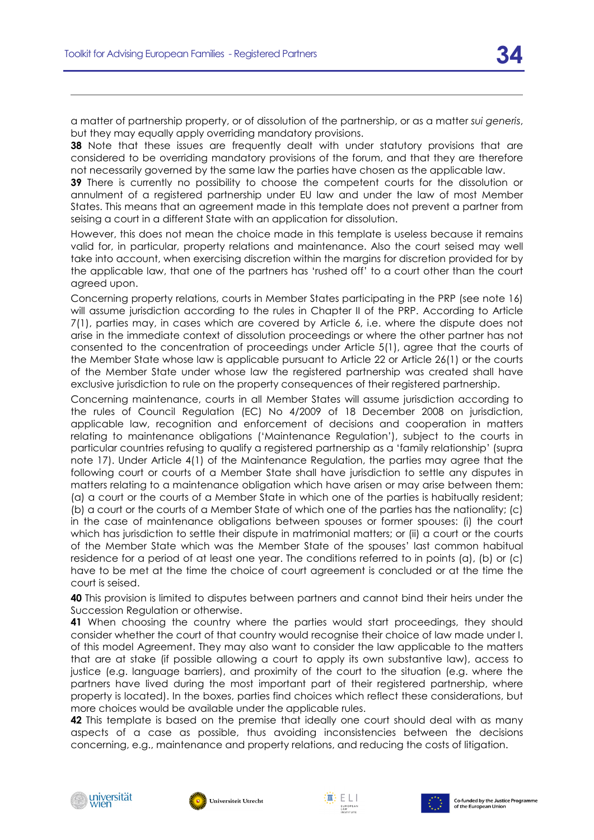a matter of partnership property, or of dissolution of the partnership, or as a matter *sui generis*, but they may equally apply overriding mandatory provisions.

**38** Note that these issues are frequently dealt with under statutory provisions that are considered to be overriding mandatory provisions of the forum, and that they are therefore not necessarily governed by the same law the parties have chosen as the applicable law.

**39** There is currently no possibility to choose the competent courts for the dissolution or annulment of a registered partnership under EU law and under the law of most Member States. This means that an agreement made in this template does not prevent a partner from seising a court in a different State with an application for dissolution.

However, this does not mean the choice made in this template is useless because it remains valid for, in particular, property relations and maintenance. Also the court seised may well take into account, when exercising discretion within the margins for discretion provided for by the applicable law, that one of the partners has 'rushed off' to a court other than the court agreed upon.

Concerning property relations, courts in Member States participating in the PRP (see note 16) will assume jurisdiction according to the rules in Chapter II of the PRP. According to Article 7(1), parties may, in cases which are covered by Article 6, i.e. where the dispute does not arise in the immediate context of dissolution proceedings or where the other partner has not consented to the concentration of proceedings under Article 5(1), agree that the courts of the Member State whose law is applicable pursuant to Article 22 or Article 26(1) or the courts of the Member State under whose law the registered partnership was created shall have exclusive jurisdiction to rule on the property consequences of their registered partnership.

Concerning maintenance, courts in all Member States will assume jurisdiction according to the rules of Council Regulation (EC) No 4/2009 of 18 December 2008 on jurisdiction, applicable law, recognition and enforcement of decisions and cooperation in matters relating to maintenance obligations ('Maintenance Regulation'), subject to the courts in particular countries refusing to qualify a registered partnership as a 'family relationship' (supra note 17). Under Article 4(1) of the Maintenance Regulation, the parties may agree that the following court or courts of a Member State shall have jurisdiction to settle any disputes in matters relating to a maintenance obligation which have arisen or may arise between them: (a) a court or the courts of a Member State in which one of the parties is habitually resident; (b) a court or the courts of a Member State of which one of the parties has the nationality; (c) in the case of maintenance obligations between spouses or former spouses: (i) the court which has jurisdiction to settle their dispute in matrimonial matters; or (ii) a court or the courts of the Member State which was the Member State of the spouses' last common habitual residence for a period of at least one year. The conditions referred to in points (a), (b) or (c) have to be met at the time the choice of court agreement is concluded or at the time the court is seised.

**40** This provision is limited to disputes between partners and cannot bind their heirs under the Succession Regulation or otherwise.

**41** When choosing the country where the parties would start proceedings, they should consider whether the court of that country would recognise their choice of law made under I. of this model Agreement. They may also want to consider the law applicable to the matters that are at stake (if possible allowing a court to apply its own substantive law), access to justice (e.g. language barriers), and proximity of the court to the situation (e.g. where the partners have lived during the most important part of their registered partnership, where property is located). In the boxes, parties find choices which reflect these considerations, but more choices would be available under the applicable rules.

**42** This template is based on the premise that ideally one court should deal with as many aspects of a case as possible, thus avoiding inconsistencies between the decisions concerning, e.g., maintenance and property relations, and reducing the costs of litigation.